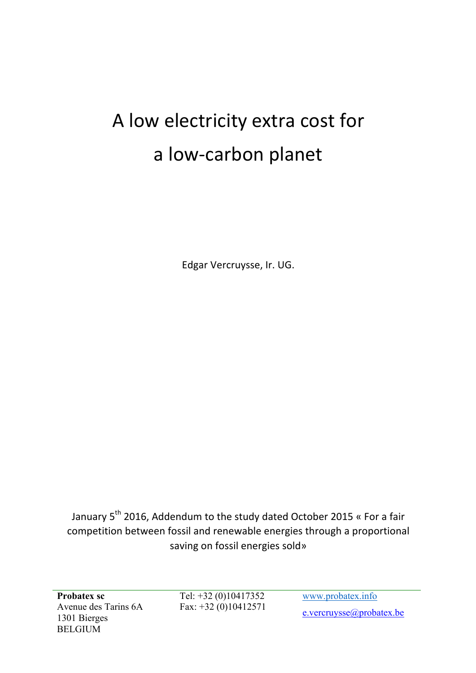## A low electricity extra cost for a low-carbon planet

Edgar Vercruysse, Ir. UG.

January 5<sup>th</sup> 2016, Addendum to the study dated October 2015 « For a fair competition between fossil and renewable energies through a proportional saving on fossil energies sold»

**Probatex sc** Avenue des Tarins 6A 1301 Bierges BELGIUM

Tel: +32 (0)10417352 Fax: +32 (0)10412571

www.probatex.info e.vercruysse@probatex.be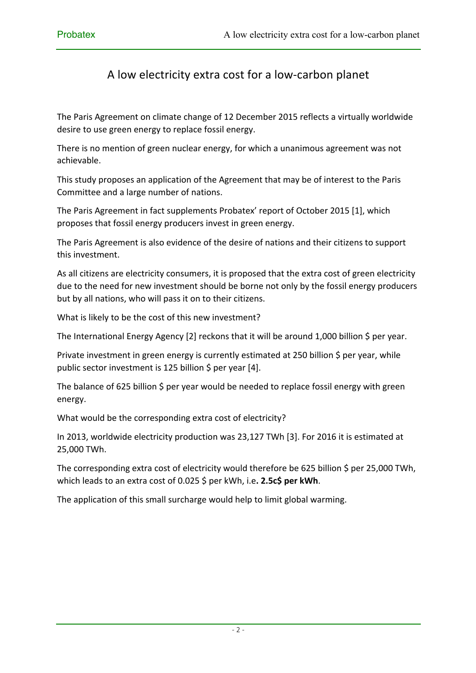## A low electricity extra cost for a low-carbon planet

The Paris Agreement on climate change of 12 December 2015 reflects a virtually worldwide desire to use green energy to replace fossil energy.

There is no mention of green nuclear energy, for which a unanimous agreement was not achievable.

This study proposes an application of the Agreement that may be of interest to the Paris Committee and a large number of nations.

The Paris Agreement in fact supplements Probatex' report of October 2015 [1], which proposes that fossil energy producers invest in green energy.

The Paris Agreement is also evidence of the desire of nations and their citizens to support this investment.

As all citizens are electricity consumers, it is proposed that the extra cost of green electricity due to the need for new investment should be borne not only by the fossil energy producers but by all nations, who will pass it on to their citizens.

What is likely to be the cost of this new investment?

The International Energy Agency [2] reckons that it will be around 1,000 billion \$ per year.

Private investment in green energy is currently estimated at 250 billion  $\zeta$  per year, while public sector investment is 125 billion  $\zeta$  per year [4].

The balance of 625 billion  $\zeta$  per year would be needed to replace fossil energy with green energy.

What would be the corresponding extra cost of electricity?

In 2013, worldwide electricity production was 23,127 TWh [3]. For 2016 it is estimated at 25,000 TWh.

The corresponding extra cost of electricity would therefore be 625 billion \$ per 25,000 TWh, which leads to an extra cost of 0.025 \$ per kWh, i.e. 2.5c\$ per kWh.

The application of this small surcharge would help to limit global warming.